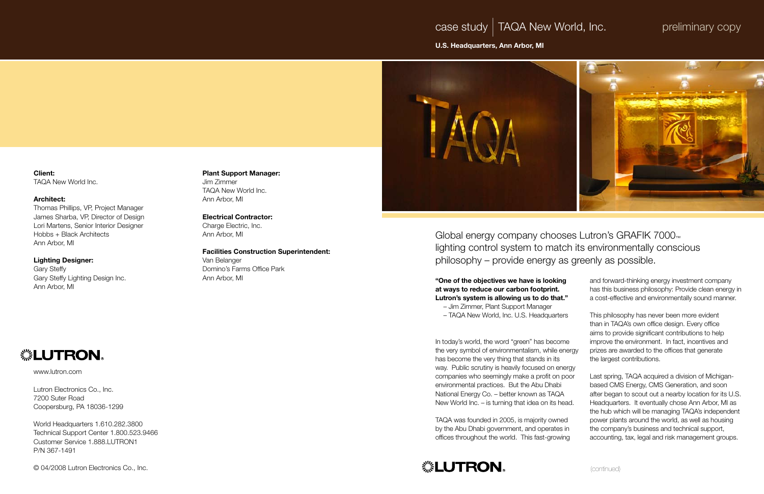case study *|* TAQA New World, Inc.

U.S. Headquarters, Ann Arbor, MI



Client: TAQA New World Inc.

## Architect:

Thomas Phillips, VP, Project Manager James Sharba, VP, Director of Design Lori Martens, Senior Interior Designer Hobbs + Black Architects Ann Arbor, MI

## Lighting Designer:

Gary Steffy Gary Steffy Lighting Design Inc. Ann Arbor, MI

# *<b> ※LUTRON*

## Plant Support Manager:

Jim Zimmer TAQA New World Inc. Ann Arbor, MI

Electrical Contractor: Charge Electric, Inc. Ann Arbor, MI

Facilities Construction Superintendent:

Van Belanger Domino's Farms Office Park Ann Arbor, MI

www.lutron.com

Lutron Electronics Co., Inc. 7200 Suter Road Coopersburg, PA 18036-1299

World Headquarters 1.610.282.3800 Technical Support Center 1.800.523.9466 Customer Service 1.888.LUTRON1 P/N 367-1491

© 04/2008 Lutron Electronics Co., Inc.

Global energy company chooses Lutron's GRAFIK 7000™ philosophy – provide energy as greenly as possible.

# lighting control system to match its environmentally conscious

"One of the objectives we have is looking at ways to reduce our carbon footprint. Lutron's system is allowing us to do that

| ıg     | and forward-thinking energy investment company<br>has this business philosophy: Provide clean energy in                                            |
|--------|----------------------------------------------------------------------------------------------------------------------------------------------------|
| t."    | a cost-effective and environmentally sound manner.                                                                                                 |
| ers    | This philosophy has never been more evident<br>than in TAQA's own office design. Every office<br>aims to provide significant contributions to help |
| me     | improve the environment. In fact, incentives and                                                                                                   |
| energy | prizes are awarded to the offices that generate<br>the largest contributions.                                                                      |
| ergy   |                                                                                                                                                    |
| poor   | Last spring, TAQA acquired a division of Michigan-                                                                                                 |
|        | based CMS Energy, CMS Generation, and soon                                                                                                         |
| Д      | after began to scout out a nearby location for its U.S.                                                                                            |
| ead.   | Headquarters. It eventually chose Ann Arbor, MI as                                                                                                 |
|        | the hub which will be managing TAQA's independent                                                                                                  |
| ed     | power plants around the world, as well as housing                                                                                                  |
| s in   | the company's business and technical support,                                                                                                      |
| ing    | accounting, tax, legal and risk management groups.                                                                                                 |
|        |                                                                                                                                                    |

- Jim Zimmer, Plant Support Manager
- TAQA New World, Inc. U.S. Headquarters

In today's world, the word "green" has becone the very symbol of environmentalism, while e has become the very thing that stands in its way. Public scrutiny is heavily focused on energy companies who seemingly make a profit on environmental practices. But the Abu Dhabi National Energy Co. - better known as TAQA New World Inc. – is turning that idea on its head.

TAQA was founded in 2005, is majority owne by the Abu Dhabi government, and operates offices throughout the world. This fast-growi



# preliminary copy